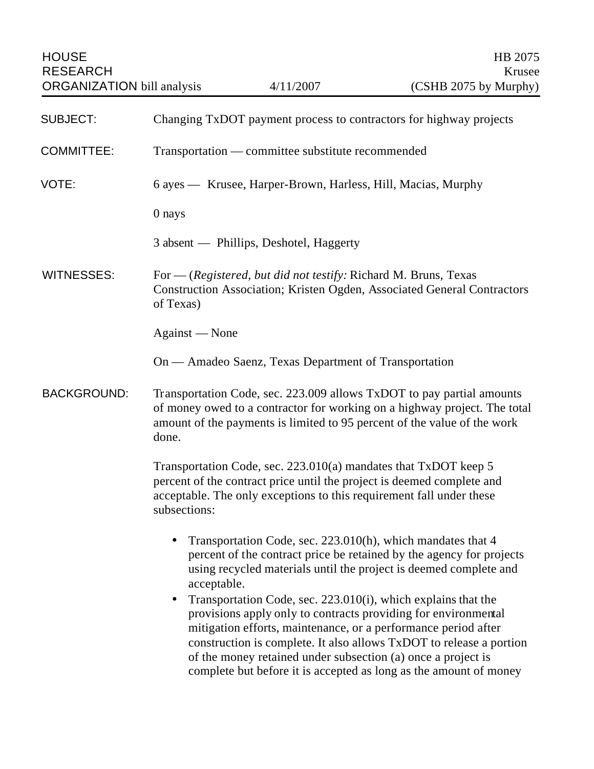HOUSE HB 2075 RESEARCH Krusee

| <b>SUBJECT:</b>    | Changing TxDOT payment process to contractors for highway projects                                                                                                                                                                                                                                                                                                                                                                                                                                                                                                                                                                       |
|--------------------|------------------------------------------------------------------------------------------------------------------------------------------------------------------------------------------------------------------------------------------------------------------------------------------------------------------------------------------------------------------------------------------------------------------------------------------------------------------------------------------------------------------------------------------------------------------------------------------------------------------------------------------|
| <b>COMMITTEE:</b>  | Transportation — committee substitute recommended                                                                                                                                                                                                                                                                                                                                                                                                                                                                                                                                                                                        |
| VOTE:              | 6 ayes — Krusee, Harper-Brown, Harless, Hill, Macias, Murphy                                                                                                                                                                                                                                                                                                                                                                                                                                                                                                                                                                             |
|                    | 0 nays                                                                                                                                                                                                                                                                                                                                                                                                                                                                                                                                                                                                                                   |
|                    | 3 absent — Phillips, Deshotel, Haggerty                                                                                                                                                                                                                                                                                                                                                                                                                                                                                                                                                                                                  |
| <b>WITNESSES:</b>  | For — (Registered, but did not testify: Richard M. Bruns, Texas<br>Construction Association; Kristen Ogden, Associated General Contractors<br>of Texas)                                                                                                                                                                                                                                                                                                                                                                                                                                                                                  |
|                    | Against - None                                                                                                                                                                                                                                                                                                                                                                                                                                                                                                                                                                                                                           |
|                    | On — Amadeo Saenz, Texas Department of Transportation                                                                                                                                                                                                                                                                                                                                                                                                                                                                                                                                                                                    |
| <b>BACKGROUND:</b> | Transportation Code, sec. 223.009 allows TxDOT to pay partial amounts<br>of money owed to a contractor for working on a highway project. The total<br>amount of the payments is limited to 95 percent of the value of the work<br>done.                                                                                                                                                                                                                                                                                                                                                                                                  |
|                    | Transportation Code, sec. 223.010(a) mandates that TxDOT keep 5<br>percent of the contract price until the project is deemed complete and<br>acceptable. The only exceptions to this requirement fall under these<br>subsections:                                                                                                                                                                                                                                                                                                                                                                                                        |
|                    | Transportation Code, sec. 223.010(h), which mandates that 4<br>percent of the contract price be retained by the agency for projects<br>using recycled materials until the project is deemed complete and<br>acceptable.<br>Transportation Code, sec. 223.010(i), which explains that the<br>provisions apply only to contracts providing for environmental<br>mitigation efforts, maintenance, or a performance period after<br>construction is complete. It also allows TxDOT to release a portion<br>of the money retained under subsection (a) once a project is<br>complete but before it is accepted as long as the amount of money |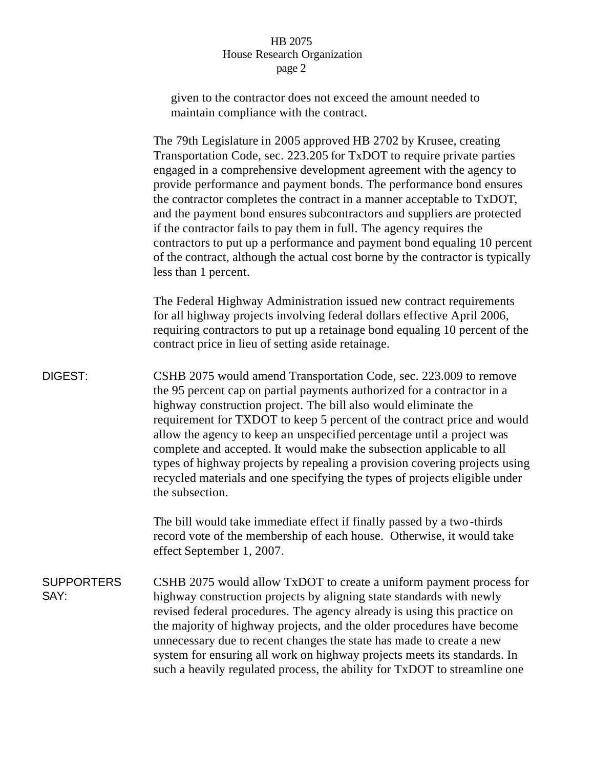## HB 2075 House Research Organization page 2

given to the contractor does not exceed the amount needed to maintain compliance with the contract.

The 79th Legislature in 2005 approved HB 2702 by Krusee, creating Transportation Code, sec. 223.205 for TxDOT to require private parties engaged in a comprehensive development agreement with the agency to provide performance and payment bonds. The performance bond ensures the contractor completes the contract in a manner acceptable to TxDOT, and the payment bond ensures subcontractors and suppliers are protected if the contractor fails to pay them in full. The agency requires the contractors to put up a performance and payment bond equaling 10 percent of the contract, although the actual cost borne by the contractor is typically less than 1 percent.

The Federal Highway Administration issued new contract requirements for all highway projects involving federal dollars effective April 2006, requiring contractors to put up a retainage bond equaling 10 percent of the contract price in lieu of setting aside retainage.

DIGEST: CSHB 2075 would amend Transportation Code, sec. 223.009 to remove the 95 percent cap on partial payments authorized for a contractor in a highway construction project. The bill also would eliminate the requirement for TXDOT to keep 5 percent of the contract price and would allow the agency to keep an unspecified percentage until a project was complete and accepted. It would make the subsection applicable to all types of highway projects by repealing a provision covering projects using recycled materials and one specifying the types of projects eligible under the subsection.

> The bill would take immediate effect if finally passed by a two-thirds record vote of the membership of each house. Otherwise, it would take effect September 1, 2007.

**SUPPORTERS** SAY: CSHB 2075 would allow TxDOT to create a uniform payment process for highway construction projects by aligning state standards with newly revised federal procedures. The agency already is using this practice on the majority of highway projects, and the older procedures have become unnecessary due to recent changes the state has made to create a new system for ensuring all work on highway projects meets its standards. In such a heavily regulated process, the ability for TxDOT to streamline one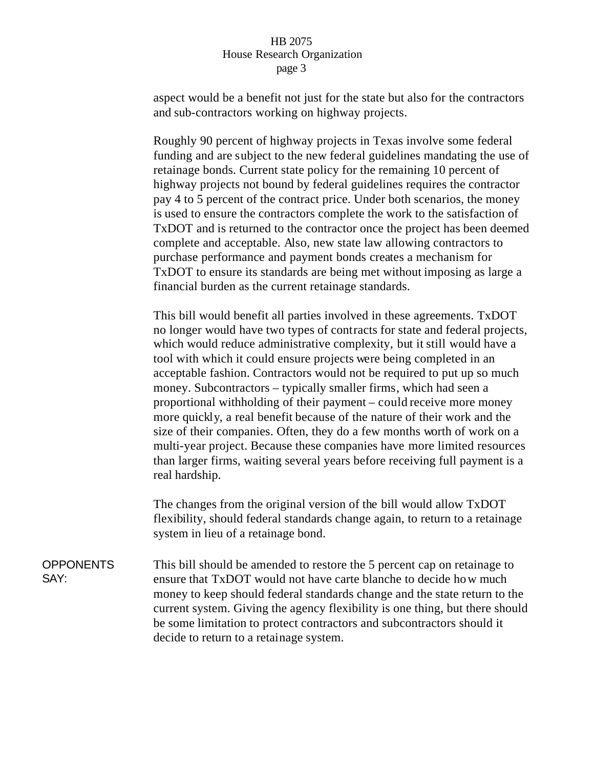## HB 2075 House Research Organization page 3

aspect would be a benefit not just for the state but also for the contractors and sub-contractors working on highway projects.

Roughly 90 percent of highway projects in Texas involve some federal funding and are subject to the new federal guidelines mandating the use of retainage bonds. Current state policy for the remaining 10 percent of highway projects not bound by federal guidelines requires the contractor pay 4 to 5 percent of the contract price. Under both scenarios, the money is used to ensure the contractors complete the work to the satisfaction of TxDOT and is returned to the contractor once the project has been deemed complete and acceptable. Also, new state law allowing contractors to purchase performance and payment bonds creates a mechanism for TxDOT to ensure its standards are being met without imposing as large a financial burden as the current retainage standards.

This bill would benefit all parties involved in these agreements. TxDOT no longer would have two types of contracts for state and federal projects, which would reduce administrative complexity, but it still would have a tool with which it could ensure projects were being completed in an acceptable fashion. Contractors would not be required to put up so much money. Subcontractors – typically smaller firms, which had seen a proportional withholding of their payment – could receive more money more quickly, a real benefit because of the nature of their work and the size of their companies. Often, they do a few months worth of work on a multi-year project. Because these companies have more limited resources than larger firms, waiting several years before receiving full payment is a real hardship.

The changes from the original version of the bill would allow TxDOT flexibility, should federal standards change again, to return to a retainage system in lieu of a retainage bond.

**OPPONENTS** SAY: This bill should be amended to restore the 5 percent cap on retainage to ensure that TxDOT would not have carte blanche to decide how much money to keep should federal standards change and the state return to the current system. Giving the agency flexibility is one thing, but there should be some limitation to protect contractors and subcontractors should it decide to return to a retainage system.